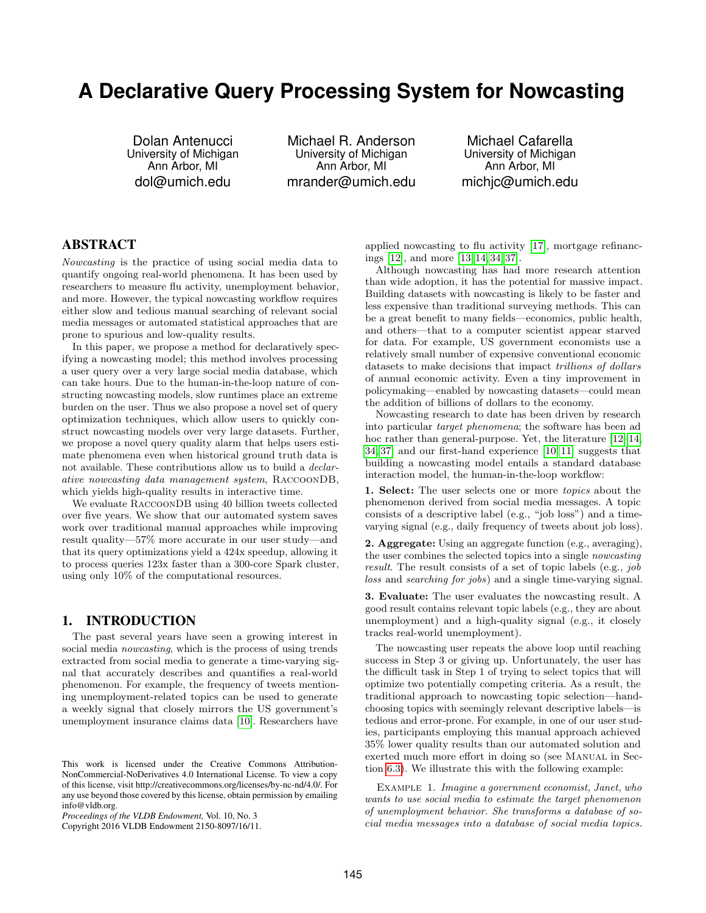# **A Declarative Query Processing System for Nowcasting**

Dolan Antenucci University of Michigan Ann Arbor, MI dol@umich.edu

Michael R. Anderson University of Michigan Ann Arbor, MI mrander@umich.edu

Michael Cafarella University of Michigan Ann Arbor, MI michjc@umich.edu

# ABSTRACT

Nowcasting is the practice of using social media data to quantify ongoing real-world phenomena. It has been used by researchers to measure flu activity, unemployment behavior, and more. However, the typical nowcasting workflow requires either slow and tedious manual searching of relevant social media messages or automated statistical approaches that are prone to spurious and low-quality results.

In this paper, we propose a method for declaratively specifying a nowcasting model; this method involves processing a user query over a very large social media database, which can take hours. Due to the human-in-the-loop nature of constructing nowcasting models, slow runtimes place an extreme burden on the user. Thus we also propose a novel set of query optimization techniques, which allow users to quickly construct nowcasting models over very large datasets. Further, we propose a novel query quality alarm that helps users estimate phenomena even when historical ground truth data is not available. These contributions allow us to build a declarative nowcasting data management system, RaccoonDB, which yields high-quality results in interactive time.

We evaluate RaccoonDB using 40 billion tweets collected over five years. We show that our automated system saves work over traditional manual approaches while improving result quality—57% more accurate in our user study—and that its query optimizations yield a 424x speedup, allowing it to process queries 123x faster than a 300-core Spark cluster, using only 10% of the computational resources.

# <span id="page-0-0"></span>1. INTRODUCTION

The past several years have seen a growing interest in social media *nowcasting*, which is the process of using trends extracted from social media to generate a time-varying signal that accurately describes and quantifies a real-world phenomenon. For example, the frequency of tweets mentioning unemployment-related topics can be used to generate a weekly signal that closely mirrors the US government's unemployment insurance claims data [\[10\]](#page-11-0). Researchers have

Copyright 2016 VLDB Endowment 2150-8097/16/11.

applied nowcasting to flu activity [\[17\]](#page-11-1), mortgage refinancings [\[12\]](#page-11-2), and more [\[13,](#page-11-3) [14,](#page-11-4) [34,](#page-11-5) [37\]](#page-11-6).

Although nowcasting has had more research attention than wide adoption, it has the potential for massive impact. Building datasets with nowcasting is likely to be faster and less expensive than traditional surveying methods. This can be a great benefit to many fields—economics, public health, and others—that to a computer scientist appear starved for data. For example, US government economists use a relatively small number of expensive conventional economic datasets to make decisions that impact trillions of dollars of annual economic activity. Even a tiny improvement in policymaking—enabled by nowcasting datasets—could mean the addition of billions of dollars to the economy.

Nowcasting research to date has been driven by research into particular target phenomena; the software has been ad hoc rather than general-purpose. Yet, the literature [\[12](#page-11-2)[–14,](#page-11-4) [34,](#page-11-5) [37\]](#page-11-6) and our first-hand experience [\[10,](#page-11-0) [11\]](#page-11-7) suggests that building a nowcasting model entails a standard database interaction model, the human-in-the-loop workflow:

1. Select: The user selects one or more topics about the phenomenon derived from social media messages. A topic consists of a descriptive label (e.g., "job loss") and a timevarying signal (e.g., daily frequency of tweets about job loss).

2. Aggregate: Using an aggregate function (e.g., averaging), the user combines the selected topics into a single nowcasting result. The result consists of a set of topic labels (e.g., job loss and searching for jobs) and a single time-varying signal.

3. Evaluate: The user evaluates the nowcasting result. A good result contains relevant topic labels (e.g., they are about unemployment) and a high-quality signal (e.g., it closely tracks real-world unemployment).

The nowcasting user repeats the above loop until reaching success in Step 3 or giving up. Unfortunately, the user has the difficult task in Step 1 of trying to select topics that will optimize two potentially competing criteria. As a result, the traditional approach to nowcasting topic selection—handchoosing topics with seemingly relevant descriptive labels—is tedious and error-prone. For example, in one of our user studies, participants employing this manual approach achieved 35% lower quality results than our automated solution and exerted much more effort in doing so (see Manual in Section [6.3\)](#page-8-0). We illustrate this with the following example:

Example 1. Imagine a government economist, Janet, who wants to use social media to estimate the target phenomenon of unemployment behavior. She transforms a database of social media messages into a database of social media topics.

This work is licensed under the Creative Commons Attribution-NonCommercial-NoDerivatives 4.0 International License. To view a copy of this license, visit http://creativecommons.org/licenses/by-nc-nd/4.0/. For any use beyond those covered by this license, obtain permission by emailing info@vldb.org.

*Proceedings of the VLDB Endowment,* Vol. 10, No. 3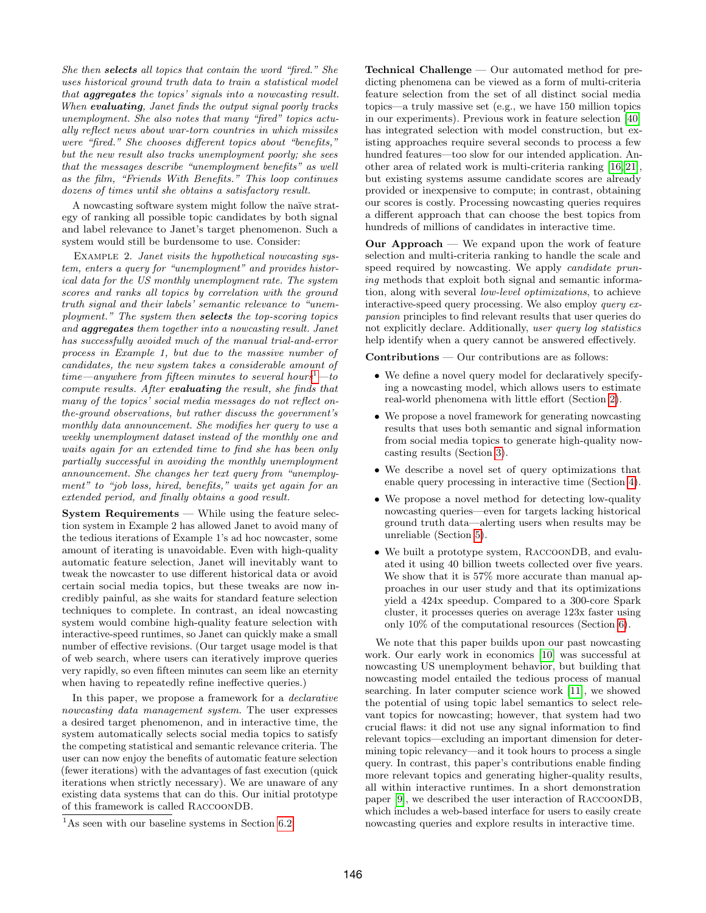She then selects all topics that contain the word "fired." She uses historical ground truth data to train a statistical model that aggregates the topics' signals into a nowcasting result. When **evaluating**, Janet finds the output signal poorly tracks unemployment. She also notes that many "fired" topics actually reflect news about war-torn countries in which missiles were "fired." She chooses different topics about "benefits," but the new result also tracks unemployment poorly; she sees that the messages describe "unemployment benefits" as well as the film, "Friends With Benefits." This loop continues dozens of times until she obtains a satisfactory result.

A nowcasting software system might follow the naïve strategy of ranking all possible topic candidates by both signal and label relevance to Janet's target phenomenon. Such a system would still be burdensome to use. Consider:

EXAMPLE 2. Janet visits the hypothetical nowcasting system, enters a query for "unemployment" and provides historical data for the US monthly unemployment rate. The system scores and ranks all topics by correlation with the ground truth signal and their labels' semantic relevance to "unemployment." The system then selects the top-scoring topics and aggregates them together into a nowcasting result. Janet has successfully avoided much of the manual trial-and-error process in Example 1, but due to the massive number of candidates, the new system takes a considerable amount of  $time—anywhere from fifteen minutes to several hours<sup>1</sup>—to$  $time—anywhere from fifteen minutes to several hours<sup>1</sup>—to$  $time—anywhere from fifteen minutes to several hours<sup>1</sup>—to$ compute results. After evaluating the result, she finds that many of the topics' social media messages do not reflect onthe-ground observations, but rather discuss the government's monthly data announcement. She modifies her query to use a weekly unemployment dataset instead of the monthly one and waits again for an extended time to find she has been only partially successful in avoiding the monthly unemployment announcement. She changes her text query from "unemployment" to "job loss, hired, benefits," waits yet again for an extended period, and finally obtains a good result.

System Requirements — While using the feature selection system in Example 2 has allowed Janet to avoid many of the tedious iterations of Example 1's ad hoc nowcaster, some amount of iterating is unavoidable. Even with high-quality automatic feature selection, Janet will inevitably want to tweak the nowcaster to use different historical data or avoid certain social media topics, but these tweaks are now incredibly painful, as she waits for standard feature selection techniques to complete. In contrast, an ideal nowcasting system would combine high-quality feature selection with interactive-speed runtimes, so Janet can quickly make a small number of effective revisions. (Our target usage model is that of web search, where users can iteratively improve queries very rapidly, so even fifteen minutes can seem like an eternity when having to repeatedly refine ineffective queries.)

In this paper, we propose a framework for a declarative nowcasting data management system. The user expresses a desired target phenomenon, and in interactive time, the system automatically selects social media topics to satisfy the competing statistical and semantic relevance criteria. The user can now enjoy the benefits of automatic feature selection (fewer iterations) with the advantages of fast execution (quick iterations when strictly necessary). We are unaware of any existing data systems that can do this. Our initial prototype of this framework is called RaccoonDB.

Technical Challenge — Our automated method for predicting phenomena can be viewed as a form of multi-criteria feature selection from the set of all distinct social media topics—a truly massive set (e.g., we have 150 million topics in our experiments). Previous work in feature selection [\[40\]](#page-11-8) has integrated selection with model construction, but existing approaches require several seconds to process a few hundred features—too slow for our intended application. Another area of related work is multi-criteria ranking [\[16,](#page-11-9) [21\]](#page-11-10), but existing systems assume candidate scores are already provided or inexpensive to compute; in contrast, obtaining our scores is costly. Processing nowcasting queries requires a different approach that can choose the best topics from hundreds of millions of candidates in interactive time.

**Our Approach** — We expand upon the work of feature selection and multi-criteria ranking to handle the scale and speed required by nowcasting. We apply *candidate prun*ing methods that exploit both signal and semantic information, along with several low-level optimizations, to achieve interactive-speed query processing. We also employ query expansion principles to find relevant results that user queries do not explicitly declare. Additionally, user query log statistics help identify when a query cannot be answered effectively.

Contributions — Our contributions are as follows:

- We define a novel query model for declaratively specifying a nowcasting model, which allows users to estimate real-world phenomena with little effort (Section [2\)](#page-2-0).
- We propose a novel framework for generating nowcasting results that uses both semantic and signal information from social media topics to generate high-quality nowcasting results (Section [3\)](#page-3-0).
- We describe a novel set of query optimizations that enable query processing in interactive time (Section [4\)](#page-4-0).
- We propose a novel method for detecting low-quality nowcasting queries—even for targets lacking historical ground truth data—alerting users when results may be unreliable (Section [5\)](#page-5-0).
- We built a prototype system, RaccoonDB, and evaluated it using 40 billion tweets collected over five years. We show that it is 57% more accurate than manual approaches in our user study and that its optimizations yield a 424x speedup. Compared to a 300-core Spark cluster, it processes queries on average 123x faster using only 10% of the computational resources (Section [6\)](#page-6-1).

We note that this paper builds upon our past nowcasting work. Our early work in economics [\[10\]](#page-11-0) was successful at nowcasting US unemployment behavior, but building that nowcasting model entailed the tedious process of manual searching. In later computer science work [\[11\]](#page-11-7), we showed the potential of using topic label semantics to select relevant topics for nowcasting; however, that system had two crucial flaws: it did not use any signal information to find relevant topics—excluding an important dimension for determining topic relevancy—and it took hours to process a single query. In contrast, this paper's contributions enable finding more relevant topics and generating higher-quality results, all within interactive runtimes. In a short demonstration paper [\[9\]](#page-11-11), we described the user interaction of RaccoonDB, which includes a web-based interface for users to easily create nowcasting queries and explore results in interactive time.

<span id="page-1-0"></span> ${}^{1}$ As seen with our baseline systems in Section [6.2.](#page-6-0)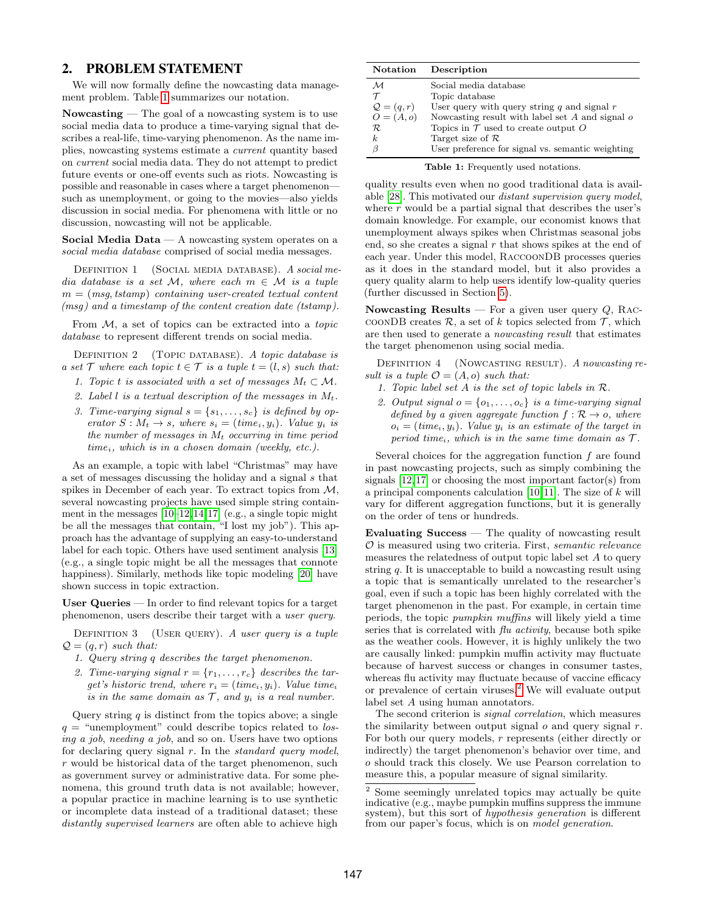# <span id="page-2-0"></span>2. PROBLEM STATEMENT

We will now formally define the nowcasting data management problem. Table [1](#page-2-1) summarizes our notation.

Now casting  $-$  The goal of a now casting system is to use social media data to produce a time-varying signal that describes a real-life, time-varying phenomenon. As the name implies, nowcasting systems estimate a current quantity based on current social media data. They do not attempt to predict future events or one-off events such as riots. Nowcasting is possible and reasonable in cases where a target phenomenon such as unemployment, or going to the movies—also yields discussion in social media. For phenomena with little or no discussion, nowcasting will not be applicable.

Social Media Data  $- A$  nowcasting system operates on a social media database comprised of social media messages.

DEFINITION 1 (SOCIAL MEDIA DATABASE). A social media database is a set M, where each  $m \in \mathcal{M}$  is a tuple  $m = (msg, tstamp)$  containing user-created textual content (msg) and a timestamp of the content creation date (tstamp).

From  $M$ , a set of topics can be extracted into a *topic* database to represent different trends on social media.

DEFINITION 2 (TOPIC DATABASE). A topic database is a set  $\mathcal T$  where each topic  $t \in \mathcal T$  is a tuple  $t = (l, s)$  such that:

- 1. Topic t is associated with a set of messages  $M_t \subset \mathcal{M}$ .
- 2. Label l is a textual description of the messages in  $M_t$ .
- 3. Time-varying signal  $s = \{s_1, \ldots, s_c\}$  is defined by operator  $S: M_t \to s$ , where  $s_i = (time_i, y_i)$ . Value  $y_i$  is the number of messages in  $M_t$  occurring in time period  $time_i$ , which is in a chosen domain (weekly, etc.).

As an example, a topic with label "Christmas" may have a set of messages discussing the holiday and a signal s that spikes in December of each year. To extract topics from  $M$ , several nowcasting projects have used simple string containment in the messages  $[10-12,14,17]$  $[10-12,14,17]$  $[10-12,14,17]$  $[10-12,14,17]$  (e.g., a single topic might be all the messages that contain, "I lost my job"). This approach has the advantage of supplying an easy-to-understand label for each topic. Others have used sentiment analysis [\[13\]](#page-11-3) (e.g., a single topic might be all the messages that connote happiness). Similarly, methods like topic modeling [\[20\]](#page-11-12) have shown success in topic extraction.

User Queries — In order to find relevant topics for a target phenomenon, users describe their target with a user query.

DEFINITION 3 (USER QUERY). A user query is a tuple  $\mathcal{Q} = (q, r)$  such that:

- 1. Query string q describes the target phenomenon.
- 2. Time-varying signal  $r = \{r_1, \ldots, r_c\}$  describes the target's historic trend, where  $r_i = (time_i, y_i)$ . Value time<sub>i</sub> is in the same domain as  $T$ , and  $y_i$  is a real number.

Query string  $q$  is distinct from the topics above; a single  $q =$  "unemployment" could describe topics related to losing a job, needing a job, and so on. Users have two options for declaring query signal r. In the standard query model, r would be historical data of the target phenomenon, such as government survey or administrative data. For some phenomena, this ground truth data is not available; however, a popular practice in machine learning is to use synthetic or incomplete data instead of a traditional dataset; these distantly supervised learners are often able to achieve high

<span id="page-2-1"></span>

| Notation            | Description                                         |  |  |  |  |
|---------------------|-----------------------------------------------------|--|--|--|--|
| $\mathcal M$        | Social media database                               |  |  |  |  |
| $\tau$              | Topic database                                      |  |  |  |  |
| $\mathcal{Q}=(q,r)$ | User query with query string q and signal $r$       |  |  |  |  |
| $O=(A,o)$           | Nowcasting result with label set $A$ and signal $o$ |  |  |  |  |
| $\mathcal R$        | Topics in $\mathcal T$ used to create output O      |  |  |  |  |
| $_{k}$              | Target size of $\mathcal R$                         |  |  |  |  |
| B                   | User preference for signal vs. semantic weighting   |  |  |  |  |
|                     | Toble 1. Frequently used notations                  |  |  |  |  |

Table 1: Frequently used notations.

quality results even when no good traditional data is available [\[28\]](#page-11-13). This motivated our distant supervision query model, where  $r$  would be a partial signal that describes the user's domain knowledge. For example, our economist knows that unemployment always spikes when Christmas seasonal jobs end, so she creates a signal  $r$  that shows spikes at the end of each year. Under this model, RaccoonDB processes queries as it does in the standard model, but it also provides a query quality alarm to help users identify low-quality queries (further discussed in Section [5\)](#page-5-0).

Nowcasting Results — For a given user query  $Q$ , RAC-COONDB creates  $\mathcal{R}$ , a set of k topics selected from  $\mathcal{T}$ , which are then used to generate a nowcasting result that estimates the target phenomenon using social media.

DEFINITION 4 (NOWCASTING RESULT). A nowcasting result is a tuple  $\mathcal{O} = (A, o)$  such that:

- 1. Topic label set A is the set of topic labels in R.
- 2. Output signal  $o = \{o_1, \ldots, o_c\}$  is a time-varying signal defined by a given aggregate function  $f : \mathcal{R} \to \infty$ , where  $o_i = (time_i, y_i)$ . Value  $y_i$  is an estimate of the target in period time<sub>i</sub>, which is in the same time domain as  $\mathcal{T}$ .

Several choices for the aggregation function  $f$  are found in past nowcasting projects, such as simply combining the signals  $[12,17]$  $[12,17]$  or choosing the most important factor(s) from a principal components calculation  $[10, 11]$  $[10, 11]$ . The size of k will vary for different aggregation functions, but it is generally on the order of tens or hundreds.

Evaluating Success — The quality of nowcasting result  $O$  is measured using two criteria. First, *semantic relevance* measures the relatedness of output topic label set A to query string  $q$ . It is unacceptable to build a nowcasting result using a topic that is semantically unrelated to the researcher's goal, even if such a topic has been highly correlated with the target phenomenon in the past. For example, in certain time periods, the topic pumpkin muffins will likely yield a time series that is correlated with *flu activity*, because both spike as the weather cools. However, it is highly unlikely the two are causally linked: pumpkin muffin activity may fluctuate because of harvest success or changes in consumer tastes, whereas flu activity may fluctuate because of vaccine efficacy or prevalence of certain viruses.[2](#page-2-2) We will evaluate output label set A using human annotators.

The second criterion is signal correlation, which measures the similarity between output signal  $o$  and query signal  $r$ . For both our query models, r represents (either directly or indirectly) the target phenomenon's behavior over time, and o should track this closely. We use Pearson correlation to measure this, a popular measure of signal similarity.

<span id="page-2-2"></span> $^{\rm 2}$  Some seemingly unrelated topics may actually be quite indicative (e.g., maybe pumpkin muffins suppress the immune system), but this sort of *hypothesis generation* is different from our paper's focus, which is on model generation.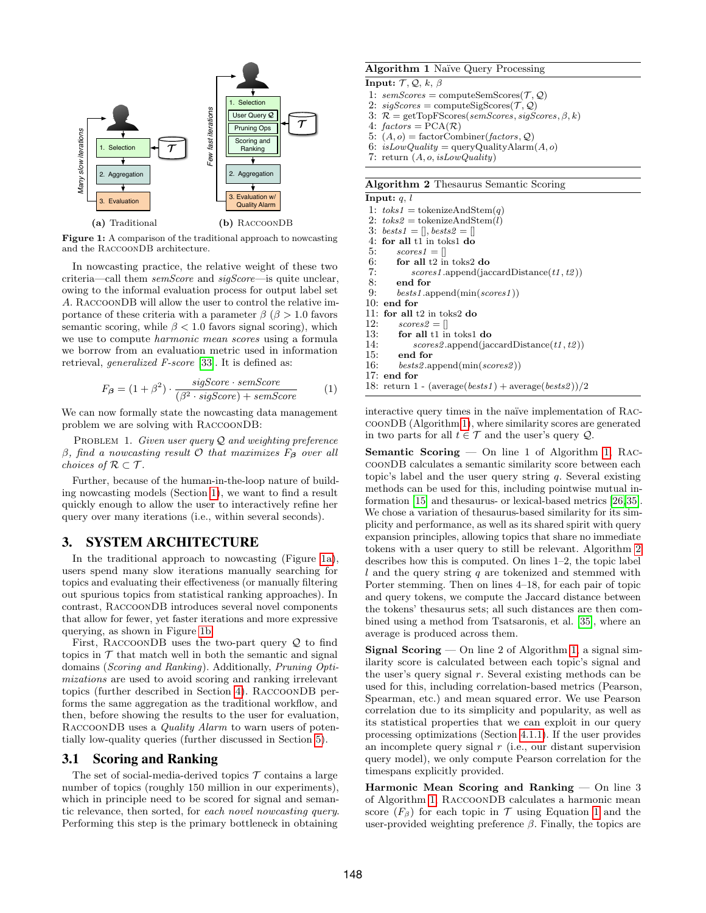<span id="page-3-1"></span>

Figure 1: A comparison of the traditional approach to nowcasting and the RaccoonDB architecture.

In nowcasting practice, the relative weight of these two criteria—call them semScore and sigScore—is quite unclear, owing to the informal evaluation process for output label set A. RaccoonDB will allow the user to control the relative importance of these criteria with a parameter  $\beta$  ( $\beta > 1.0$  favors semantic scoring, while  $\beta$  < 1.0 favors signal scoring), which we use to compute harmonic mean scores using a formula we borrow from an evaluation metric used in information retrieval, generalized F-score [\[33\]](#page-11-14). It is defined as:

<span id="page-3-4"></span>
$$
F_{\beta} = (1 + \beta^2) \cdot \frac{sigScore \cdot semScore}{(\beta^2 \cdot sigScore) + semScore} \tag{1}
$$

We can now formally state the nowcasting data management problem we are solving with RaccoonDB:

PROBLEM 1. Given user query  $Q$  and weighting preference β, find a nowcasting result O that maximizes  $F_{\beta}$  over all choices of  $\mathcal{R} \subset \mathcal{T}$ .

Further, because of the human-in-the-loop nature of building nowcasting models (Section [1\)](#page-0-0), we want to find a result quickly enough to allow the user to interactively refine her query over many iterations (i.e., within several seconds).

## <span id="page-3-0"></span>3. SYSTEM ARCHITECTURE

In the traditional approach to nowcasting (Figure [1a\)](#page-3-1), users spend many slow iterations manually searching for topics and evaluating their effectiveness (or manually filtering out spurious topics from statistical ranking approaches). In contrast, RaccoonDB introduces several novel components that allow for fewer, yet faster iterations and more expressive querying, as shown in Figure [1b.](#page-3-1)

First, RACCOONDB uses the two-part query  $Q$  to find topics in  $\mathcal T$  that match well in both the semantic and signal domains (Scoring and Ranking). Additionally, Pruning Optimizations are used to avoid scoring and ranking irrelevant topics (further described in Section [4\)](#page-4-0). RaccoonDB performs the same aggregation as the traditional workflow, and then, before showing the results to the user for evaluation, RaccoonDB uses a Quality Alarm to warn users of potentially low-quality queries (further discussed in Section [5\)](#page-5-0).

#### <span id="page-3-5"></span>3.1 Scoring and Ranking

The set of social-media-derived topics  $\mathcal T$  contains a large number of topics (roughly 150 million in our experiments), which in principle need to be scored for signal and semantic relevance, then sorted, for each novel nowcasting query. Performing this step is the primary bottleneck in obtaining

### <span id="page-3-2"></span>Algorithm 1 Naïve Query Processing

#### **Input:**  $\mathcal{T}, \mathcal{Q}, k, \beta$

- 1:  $semScores = computeSemScores(\mathcal{T}, \mathcal{Q})$ <br>2:  $sisScores = computeSisScores(\mathcal{T}, \mathcal{Q})$
- $sigScores = computeSigScores(\mathcal{T}, \mathcal{Q})$
- 3:  $\mathcal{R} = \text{getTopFScores}(semScores, sigScores, \beta, k)$
- 4:  $factors = PCA(R)$
- 5:  $(A, o)$  = factorCombiner(factors,  $Q$ )
- 6:  $isLowQuality = queryQualityAlarm(A, o)$
- 7: return  $(A, o, isLowQuality)$

#### <span id="page-3-3"></span>Algorithm 2 Thesaurus Semantic Scoring

#### Input:  $q, l$

- 1:  $toks1 = \text{tokenizeAndStem}(q)$
- 2:  $toks2 = \text{tokenizeAndStem}(l)$
- 3: bests1 =  $\vert \vert$ , bests2 =  $\vert \vert$
- 4: for all t1 in toks1 do
- 5:  $scores1 = []$
- 
- 6: for all  $t2$  in toks2 do 7: *scores1*.append(jack) 7:  $\qquad \qquad scores1.append(jaccardDistance(t1, t2))$ <br>8: **end for**
- 8: end for<br>9:  $bests1$ .a
	- $bests1.append(min(scores1))$
- 10: end for
- 11: for all t2 in toks2 do
- 12:  $\text{scores2} = []$ <br>13: **for all** t1 in
- for all t1 in toks1 do
- 14:  $\text{scores2.append}(\text{jaccardDistance}(t1, t2))$ <br>15: **end for**
- 15: end for<br>16:  $bests2$  as
- $bests2.append(min(scores2))$
- 17: end for
- 18: return 1 (average(bests1) + average(bests2))/2

interactive query times in the naïve implementation of RACcoonDB (Algorithm [1\)](#page-3-2), where similarity scores are generated in two parts for all  $t \in \mathcal{T}$  and the user's query  $\mathcal{Q}$ .

**Semantic Scoring — On line 1 of Algorithm [1,](#page-3-2) RAC**coonDB calculates a semantic similarity score between each topic's label and the user query string  $q$ . Several existing methods can be used for this, including pointwise mutual information [\[15\]](#page-11-15) and thesaurus- or lexical-based metrics [\[26,](#page-11-16)[35\]](#page-11-17). We chose a variation of thesaurus-based similarity for its simplicity and performance, as well as its shared spirit with query expansion principles, allowing topics that share no immediate tokens with a user query to still be relevant. Algorithm [2](#page-3-3) describes how this is computed. On lines 1–2, the topic label  $l$  and the query string  $q$  are tokenized and stemmed with Porter stemming. Then on lines 4–18, for each pair of topic and query tokens, we compute the Jaccard distance between the tokens' thesaurus sets; all such distances are then combined using a method from Tsatsaronis, et al. [\[35\]](#page-11-17), where an average is produced across them.

**Signal Scoring** — On line 2 of Algorithm [1,](#page-3-2) a signal similarity score is calculated between each topic's signal and the user's query signal  $r$ . Several existing methods can be used for this, including correlation-based metrics (Pearson, Spearman, etc.) and mean squared error. We use Pearson correlation due to its simplicity and popularity, as well as its statistical properties that we can exploit in our query processing optimizations (Section [4.1.1\)](#page-4-1). If the user provides an incomplete query signal  $r$  (i.e., our distant supervision query model), we only compute Pearson correlation for the timespans explicitly provided.

Harmonic Mean Scoring and Ranking — On line 3 of Algorithm [1,](#page-3-2) RaccoonDB calculates a harmonic mean score  $(F_\beta)$  for each topic in T using Equation [1](#page-3-4) and the user-provided weighting preference  $\beta$ . Finally, the topics are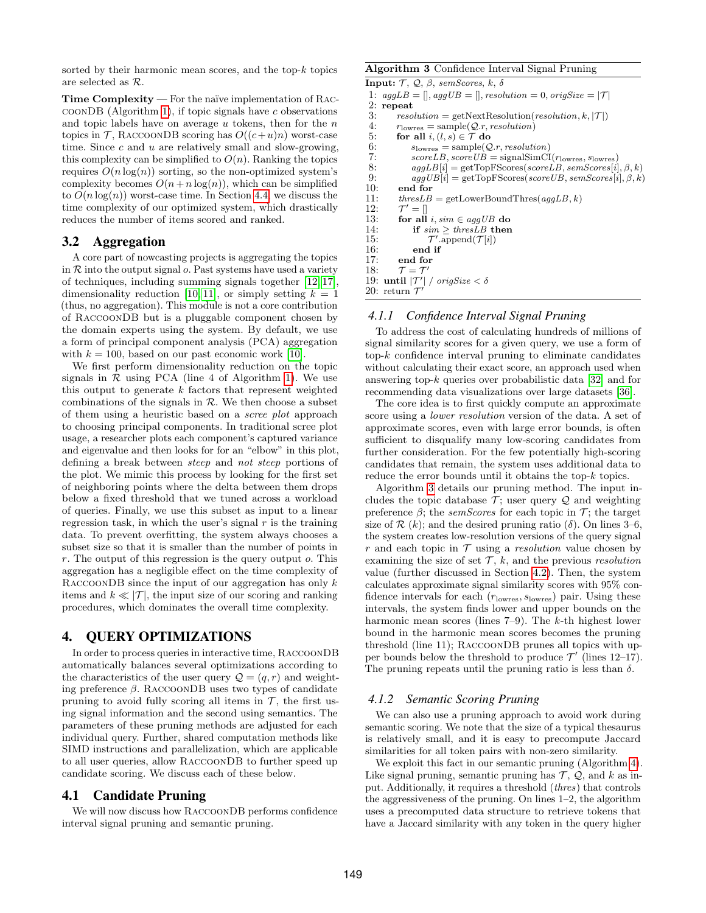sorted by their harmonic mean scores, and the top- $k$  topics are selected as R.

**Time Complexity** — For the naïve implementation of RAC- $\mathbf{coonDB}$  (Algorithm [1\)](#page-3-2), if topic signals have c observations and topic labels have on average  $u$  tokens, then for the  $n$ topics in  $\mathcal{T}$ , RACCOONDB scoring has  $O((c+u)n)$  worst-case time. Since  $c$  and  $u$  are relatively small and slow-growing, this complexity can be simplified to  $O(n)$ . Ranking the topics requires  $O(n \log(n))$  sorting, so the non-optimized system's complexity becomes  $O(n+n \log(n))$ , which can be simplified to  $O(n \log(n))$  worst-case time. In Section [4.4,](#page-5-1) we discuss the time complexity of our optimized system, which drastically reduces the number of items scored and ranked.

## 3.2 Aggregation

A core part of nowcasting projects is aggregating the topics in  $R$  into the output signal  $o$ . Past systems have used a variety of techniques, including summing signals together [\[12,](#page-11-2) [17\]](#page-11-1), dimensionality reduction [\[10,](#page-11-0) [11\]](#page-11-7), or simply setting  $k = 1$ (thus, no aggregation). This module is not a core contribution of RaccoonDB but is a pluggable component chosen by the domain experts using the system. By default, we use a form of principal component analysis (PCA) aggregation with  $k = 100$ , based on our past economic work [\[10\]](#page-11-0).

We first perform dimensionality reduction on the topic signals in  $\mathcal R$  using PCA (line 4 of Algorithm [1\)](#page-3-2). We use this output to generate  $k$  factors that represent weighted combinations of the signals in  $R$ . We then choose a subset of them using a heuristic based on a scree plot approach to choosing principal components. In traditional scree plot usage, a researcher plots each component's captured variance and eigenvalue and then looks for for an "elbow" in this plot, defining a break between steep and not steep portions of the plot. We mimic this process by looking for the first set of neighboring points where the delta between them drops below a fixed threshold that we tuned across a workload of queries. Finally, we use this subset as input to a linear regression task, in which the user's signal  $r$  is the training data. To prevent overfitting, the system always chooses a subset size so that it is smaller than the number of points in  $r$ . The output of this regression is the query output  $o$ . This aggregation has a negligible effect on the time complexity of RACCOONDB since the input of our aggregation has only  $k$ items and  $k \ll |\mathcal{T}|$ , the input size of our scoring and ranking procedures, which dominates the overall time complexity.

# <span id="page-4-0"></span>4. QUERY OPTIMIZATIONS

In order to process queries in interactive time, RaccoonDB automatically balances several optimizations according to the characteristics of the user query  $\mathcal{Q} = (q, r)$  and weighting preference  $\beta$ . RACCOONDB uses two types of candidate pruning to avoid fully scoring all items in  $\mathcal{T}$ , the first using signal information and the second using semantics. The parameters of these pruning methods are adjusted for each individual query. Further, shared computation methods like SIMD instructions and parallelization, which are applicable to all user queries, allow RaccoonDB to further speed up candidate scoring. We discuss each of these below.

### <span id="page-4-4"></span>4.1 Candidate Pruning

We will now discuss how RaccoonDB performs confidence interval signal pruning and semantic pruning.

#### <span id="page-4-2"></span>Algorithm 3 Confidence Interval Signal Pruning

**Input:**  $\mathcal{T}, \mathcal{Q}, \beta$ , semScores, k,  $\delta$ 1:  $aggLB = []$ ,  $aggUB = []$ ,  $resolution = 0$ ,  $origSize = |\mathcal{T}|$  $2:$  repeat<br> $3:$   $reso$ 3:  $resolution = getNextResolution(resolution, k, |\mathcal{T}|)$ <br>4:  $r_{100000} = sample(Q.r. resolution)$ 4:  $r_{\text{lowres}} = \text{sample}(\mathcal{Q}.r, resolution)$ <br>5: **for all**  $i, (l, s) \in \mathcal{T}$  **do** 5: for all  $i, (l, s) \in \mathcal{T}$  do<br>6:  $s_{\text{lowres}} = \text{sample}(\mathcal{Q})$ 6:  $s_{\text{lowres}} = \text{sample}(\mathcal{Q}.r, resolution)$ <br>7:  $scoreLB, scoreUB = \text{signalSimCI}$ 7:  $scoreLB, scoreUB = signalSimCI(r_{lowres}, s_{lowres})$ <br>8:  $agdB[i] = getTopFScore(scoreLB, semScores[i])$ 8:  $aggLB[i] = getTopFScore(scoreLB, semScore[i], \beta, k)$ <br>9:  $aaaUB[i] = getTopFScore(scoreUB, semScores[i], \beta, k)$ 9:  $aggUB[i] = getTopFScore(scoreUB, semScores[i], \beta, k)$ <br>10: **end for** 10: **end for**  $11:$  *thresLB*  $thresLB = getLowerBoundThres(aggLB, k)$  $\frac{12}{13}$  $\mathcal{T}' = []$ for all i,  $sim \in agqUB$  do 14: if  $sim \geq threshold$  then  $\frac{15}{16}$ '.append $(\mathcal{T}[i])$ end if 17: end for<br>18:  $\mathcal{T} = \mathcal{T}'$ 18:  $\mathcal{T} = \mathcal{T}'$ 19: until  $|{\cal T}'|$  / origSize <  $\delta$ 20: return  $\mathcal{T}'$ 

#### <span id="page-4-1"></span>*4.1.1 Confidence Interval Signal Pruning*

To address the cost of calculating hundreds of millions of signal similarity scores for a given query, we use a form of  $top-k$  confidence interval pruning to eliminate candidates without calculating their exact score, an approach used when answering top- $k$  queries over probabilistic data [\[32\]](#page-11-18) and for recommending data visualizations over large datasets [\[36\]](#page-11-19).

The core idea is to first quickly compute an approximate score using a lower resolution version of the data. A set of approximate scores, even with large error bounds, is often sufficient to disqualify many low-scoring candidates from further consideration. For the few potentially high-scoring candidates that remain, the system uses additional data to reduce the error bounds until it obtains the top-k topics.

Algorithm [3](#page-4-2) details our pruning method. The input includes the topic database  $\mathcal{T}$ ; user query  $\mathcal Q$  and weighting preference  $\beta$ ; the semScores for each topic in  $\mathcal{T}$ ; the target size of  $\mathcal R$  (k); and the desired pruning ratio ( $\delta$ ). On lines 3–6, the system creates low-resolution versions of the query signal r and each topic in  $\mathcal T$  using a resolution value chosen by examining the size of set  $\mathcal{T}, k$ , and the previous *resolution* value (further discussed in Section [4.2\)](#page-5-2). Then, the system calculates approximate signal similarity scores with 95% confidence intervals for each  $(r_{\text{lowres}}, s_{\text{lowres}})$  pair. Using these intervals, the system finds lower and upper bounds on the harmonic mean scores (lines 7–9). The k-th highest lower bound in the harmonic mean scores becomes the pruning threshold (line 11); RaccoonDB prunes all topics with upper bounds below the threshold to produce  $\mathcal{T}'$  (lines 12–17). The pruning repeats until the pruning ratio is less than  $\delta$ .

#### <span id="page-4-3"></span>*4.1.2 Semantic Scoring Pruning*

We can also use a pruning approach to avoid work during semantic scoring. We note that the size of a typical thesaurus is relatively small, and it is easy to precompute Jaccard similarities for all token pairs with non-zero similarity.

We exploit this fact in our semantic pruning (Algorithm [4\)](#page-5-3). Like signal pruning, semantic pruning has  $\mathcal{T}$ ,  $\mathcal{Q}$ , and k as input. Additionally, it requires a threshold (thres) that controls the aggressiveness of the pruning. On lines 1–2, the algorithm uses a precomputed data structure to retrieve tokens that have a Jaccard similarity with any token in the query higher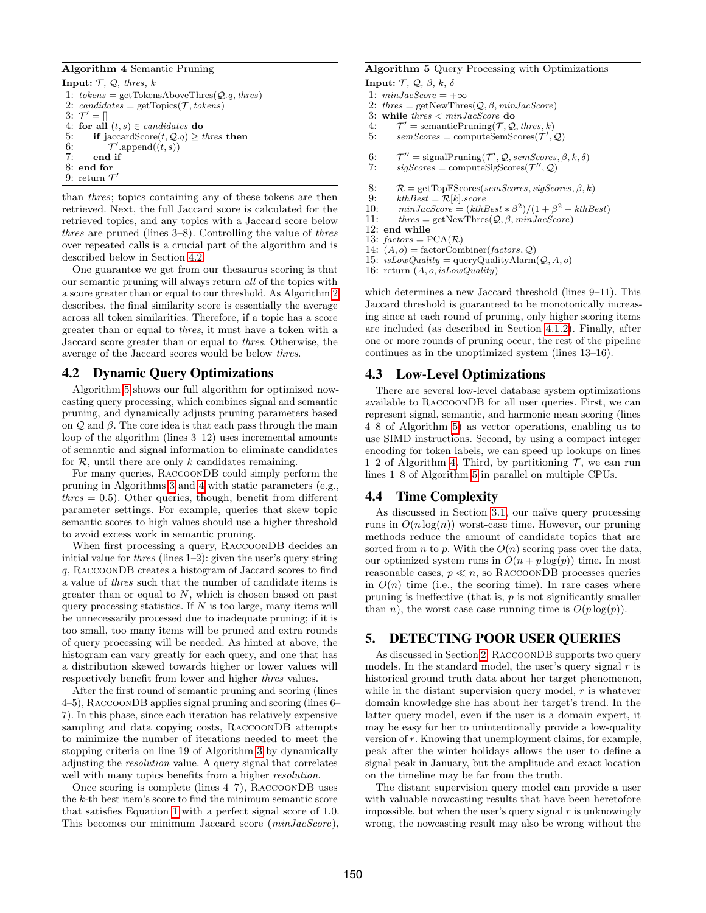#### <span id="page-5-3"></span>Algorithm 4 Semantic Pruning

**Input:**  $\mathcal{T}$ ,  $\mathcal{Q}$ , thres,  $k$ 1: tokens = getTokensAboveThres( $Q, q, thres$ )<br>2: candidates = getTopics( $\tau$  tokens)  $candidates = getTopics(\mathcal{T}, tokens)$  $3:$  $\mathcal{T}' = \mathbb{I}$ 4: for all  $(t, s) \in candidates$  do 5: if jaccardScore $(t, Q,q) \geq thres$  then  $6:$ '.append $((t, s))$ 7: end if 8: end for 9: return  $\tau$  $\mathcal{I}$ 

than thres; topics containing any of these tokens are then retrieved. Next, the full Jaccard score is calculated for the retrieved topics, and any topics with a Jaccard score below thres are pruned (lines 3–8). Controlling the value of thres over repeated calls is a crucial part of the algorithm and is described below in Section [4.2.](#page-5-2)

One guarantee we get from our thesaurus scoring is that our semantic pruning will always return all of the topics with a score greater than or equal to our threshold. As Algorithm [2](#page-3-3) describes, the final similarity score is essentially the average across all token similarities. Therefore, if a topic has a score greater than or equal to thres, it must have a token with a Jaccard score greater than or equal to thres. Otherwise, the average of the Jaccard scores would be below thres.

## <span id="page-5-2"></span>4.2 Dynamic Query Optimizations

Algorithm [5](#page-5-4) shows our full algorithm for optimized nowcasting query processing, which combines signal and semantic pruning, and dynamically adjusts pruning parameters based on  $Q$  and  $\beta$ . The core idea is that each pass through the main loop of the algorithm (lines 3–12) uses incremental amounts of semantic and signal information to eliminate candidates for  $R$ , until there are only k candidates remaining.

For many queries, RaccoonDB could simply perform the pruning in Algorithms [3](#page-4-2) and [4](#page-5-3) with static parameters (e.g.,  $thres = 0.5$ . Other queries, though, benefit from different parameter settings. For example, queries that skew topic semantic scores to high values should use a higher threshold to avoid excess work in semantic pruning.

When first processing a query, RaccoonDB decides an initial value for *thres* (lines  $1-2$ ): given the user's query string q, RaccoonDB creates a histogram of Jaccard scores to find a value of thres such that the number of candidate items is greater than or equal to  $N$ , which is chosen based on past query processing statistics. If  $N$  is too large, many items will be unnecessarily processed due to inadequate pruning; if it is too small, too many items will be pruned and extra rounds of query processing will be needed. As hinted at above, the histogram can vary greatly for each query, and one that has a distribution skewed towards higher or lower values will respectively benefit from lower and higher thres values.

After the first round of semantic pruning and scoring (lines 4–5), RaccoonDB applies signal pruning and scoring (lines 6– 7). In this phase, since each iteration has relatively expensive sampling and data copying costs, RaccoonDB attempts to minimize the number of iterations needed to meet the stopping criteria on line 19 of Algorithm [3](#page-4-2) by dynamically adjusting the resolution value. A query signal that correlates well with many topics benefits from a higher *resolution*.

Once scoring is complete (lines 4–7), RaccoonDB uses the k-th best item's score to find the minimum semantic score that satisfies Equation [1](#page-3-4) with a perfect signal score of 1.0. This becomes our minimum Jaccard score (minJacScore),

#### <span id="page-5-4"></span>Algorithm 5 Query Processing with Optimizations

```
Input: \mathcal{T}, \mathcal{Q}, \beta, k, \delta
```

```
1: minJacScore = +\infty<br>2: thres = getNewThree
```

```
2: thres = getNewThres(Q, \beta, minJacScore)<br>3: while thres < minJacScore do
```

```
3: while thres \langle minJacScore do 4: T' = semanticPruning(T \Omega)
```
4:  $\mathcal{T}' = \text{semanticPruning}(\mathcal{T}, \mathcal{Q}, \text{thres}, k)$ 

```
5: semScores = computeSemScores(\mathcal{T}', \mathcal{Q})
```
 $6:7:$  $\mathcal{O}' = \text{signalPruning}(\mathcal{T}', \mathcal{Q}, semScores, \beta, k, \delta)$ 

```
7: sigScores = computeSigScores(\mathcal{T}'', \mathcal{Q})
```
- 8:  $\mathcal{R} = \text{getTopFScores}(semScores, sigScores, \beta, k)$ <br>9:  $kthBest = \mathcal{R}[k].score$
- 9:  $kth\overline{Best} = \mathcal{R}[k].score$ <br>10:  $minJacScore = (kthL)$
- 10:  $minJacScore = (kthBest * \beta^2)/(1 + \beta^2 kthBest)$
- 11:  $thres = getNewThres(Q, \beta, minJacScore)$
- 12: end while
- 13:  $factors = PCA(R)$
- 14:  $(A, o)$  = factor Combiner (factors, Q)
- 15: isLowQuality = queryQualityAlarm $(Q, A, o)$
- 16: return  $(A, o, isLowQuality)$

which determines a new Jaccard threshold (lines 9–11). This Jaccard threshold is guaranteed to be monotonically increasing since at each round of pruning, only higher scoring items are included (as described in Section [4.1.2\)](#page-4-3). Finally, after one or more rounds of pruning occur, the rest of the pipeline continues as in the unoptimized system (lines 13–16).

## <span id="page-5-5"></span>4.3 Low-Level Optimizations

There are several low-level database system optimizations available to RaccoonDB for all user queries. First, we can represent signal, semantic, and harmonic mean scoring (lines 4–8 of Algorithm [5\)](#page-5-4) as vector operations, enabling us to use SIMD instructions. Second, by using a compact integer encoding for token labels, we can speed up lookups on lines 1–2 of Algorithm [4.](#page-5-3) Third, by partitioning  $\mathcal T$ , we can run lines 1–8 of Algorithm [5](#page-5-4) in parallel on multiple CPUs.

## <span id="page-5-1"></span>4.4 Time Complexity

As discussed in Section [3.1,](#page-3-5) our naïve query processing runs in  $O(n \log(n))$  worst-case time. However, our pruning methods reduce the amount of candidate topics that are sorted from *n* to *p*. With the  $O(n)$  scoring pass over the data, our optimized system runs in  $O(n + p \log(p))$  time. In most reasonable cases,  $p \ll n$ , so RACCOONDB processes queries in  $O(n)$  time (i.e., the scoring time). In rare cases where pruning is ineffective (that is,  $p$  is not significantly smaller than *n*), the worst case case running time is  $O(p \log(p))$ .

## <span id="page-5-0"></span>5. DETECTING POOR USER QUERIES

As discussed in Section [2,](#page-2-0) RaccoonDB supports two query models. In the standard model, the user's query signal  $r$  is historical ground truth data about her target phenomenon, while in the distant supervision query model,  $r$  is whatever domain knowledge she has about her target's trend. In the latter query model, even if the user is a domain expert, it may be easy for her to unintentionally provide a low-quality version of r. Knowing that unemployment claims, for example, peak after the winter holidays allows the user to define a signal peak in January, but the amplitude and exact location on the timeline may be far from the truth.

The distant supervision query model can provide a user with valuable nowcasting results that have been heretofore impossible, but when the user's query signal  $r$  is unknowingly wrong, the nowcasting result may also be wrong without the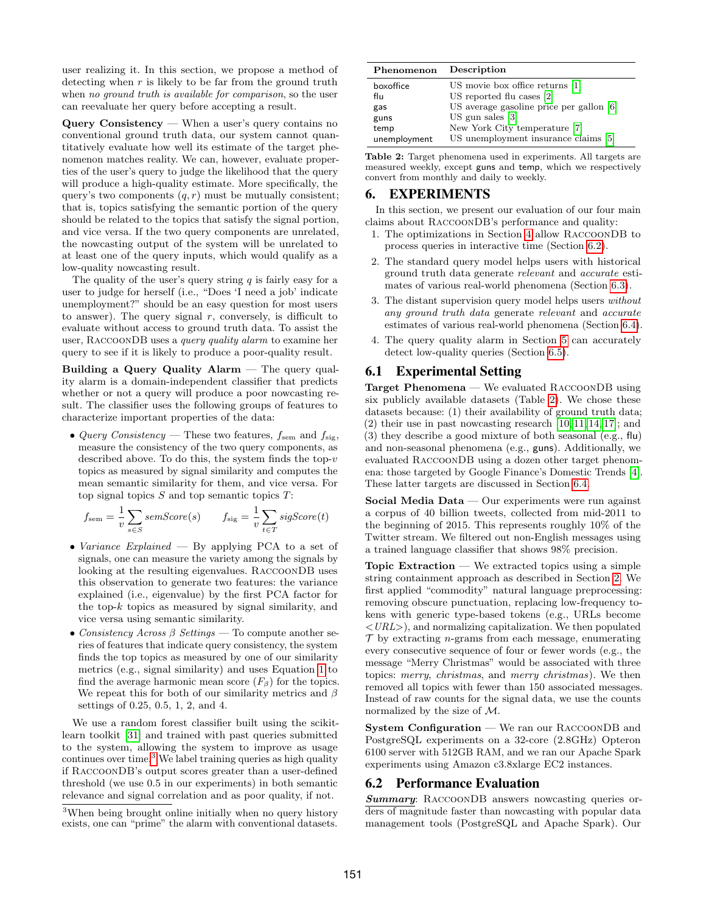user realizing it. In this section, we propose a method of detecting when  $r$  is likely to be far from the ground truth when no ground truth is available for comparison, so the user can reevaluate her query before accepting a result.

Query Consistency — When a user's query contains no conventional ground truth data, our system cannot quantitatively evaluate how well its estimate of the target phenomenon matches reality. We can, however, evaluate properties of the user's query to judge the likelihood that the query will produce a high-quality estimate. More specifically, the query's two components  $(q, r)$  must be mutually consistent; that is, topics satisfying the semantic portion of the query should be related to the topics that satisfy the signal portion, and vice versa. If the two query components are unrelated, the nowcasting output of the system will be unrelated to at least one of the query inputs, which would qualify as a low-quality nowcasting result.

The quality of the user's query string  $q$  is fairly easy for a user to judge for herself (i.e., "Does 'I need a job' indicate unemployment?" should be an easy question for most users to answer). The query signal  $r$ , conversely, is difficult to evaluate without access to ground truth data. To assist the user, RaccoonDB uses a query quality alarm to examine her query to see if it is likely to produce a poor-quality result.

Building a Query Quality Alarm — The query quality alarm is a domain-independent classifier that predicts whether or not a query will produce a poor nowcasting result. The classifier uses the following groups of features to characterize important properties of the data:

• Query Consistency — These two features,  $f_{\rm sem}$  and  $f_{\rm sig}$ , measure the consistency of the two query components, as described above. To do this, the system finds the top- $v$ topics as measured by signal similarity and computes the mean semantic similarity for them, and vice versa. For top signal topics  $S$  and top semantic topics  $T$ :

$$
f_{\text{sem}} = \frac{1}{v} \sum_{s \in S} semScore(s)
$$
  $f_{\text{sig}} = \frac{1}{v} \sum_{t \in T} sigScore(t)$ 

- Variance Explained By applying PCA to a set of signals, one can measure the variety among the signals by looking at the resulting eigenvalues. RaccoonDB uses this observation to generate two features: the variance explained (i.e., eigenvalue) by the first PCA factor for the top- $k$  topics as measured by signal similarity, and vice versa using semantic similarity.
- Consistency Across  $\beta$  Settings To compute another series of features that indicate query consistency, the system finds the top topics as measured by one of our similarity metrics (e.g., signal similarity) and uses Equation [1](#page-3-4) to find the average harmonic mean score  $(F_\beta)$  for the topics. We repeat this for both of our similarity metrics and  $\beta$ settings of 0.25, 0.5, 1, 2, and 4.

We use a random forest classifier built using the scikitlearn toolkit [\[31\]](#page-11-20) and trained with past queries submitted to the system, allowing the system to improve as usage continues over time.<sup>[3](#page-6-2)</sup> We label training queries as high quality if RaccoonDB's output scores greater than a user-defined threshold (we use 0.5 in our experiments) in both semantic relevance and signal correlation and as poor quality, if not.

<span id="page-6-2"></span><sup>3</sup>When being brought online initially when no query history exists, one can "prime" the alarm with conventional datasets.

<span id="page-6-3"></span>

| Phenomenon   | Description                              |
|--------------|------------------------------------------|
| boxoffice    | US movie box office returns [1]          |
| flu          | US reported flu cases [2]                |
| gas          | US average gasoline price per gallon [6] |
| guns         | $US$ gun sales $[3]$                     |
| temp         | New York City temperature [7]            |
| unemployment | US unemployment insurance claims [5]     |

Table 2: Target phenomena used in experiments. All targets are measured weekly, except guns and temp, which we respectively convert from monthly and daily to weekly.

# <span id="page-6-1"></span>6. EXPERIMENTS

In this section, we present our evaluation of our four main claims about RaccoonDB's performance and quality:

- 1. The optimizations in Section [4](#page-4-0) allow RaccoonDB to process queries in interactive time (Section [6.2\)](#page-6-0).
- 2. The standard query model helps users with historical ground truth data generate relevant and accurate estimates of various real-world phenomena (Section [6.3\)](#page-8-0).
- 3. The distant supervision query model helps users without any ground truth data generate relevant and accurate estimates of various real-world phenomena (Section [6.4\)](#page-9-0).
- 4. The query quality alarm in Section [5](#page-5-0) can accurately detect low-quality queries (Section [6.5\)](#page-10-0).

# <span id="page-6-4"></span>6.1 Experimental Setting

Target Phenomena — We evaluated RaccoonDB using six publicly available datasets (Table [2\)](#page-6-3). We chose these datasets because: (1) their availability of ground truth data;  $(2)$  their use in past nowcasting research  $[10, 11, 14, 17]$  $[10, 11, 14, 17]$  $[10, 11, 14, 17]$  $[10, 11, 14, 17]$ ; and (3) they describe a good mixture of both seasonal (e.g., flu) and non-seasonal phenomena (e.g., guns). Additionally, we evaluated RaccoonDB using a dozen other target phenomena: those targeted by Google Finance's Domestic Trends [\[4\]](#page-11-27). These latter targets are discussed in Section [6.4.](#page-9-0)

Social Media Data — Our experiments were run against a corpus of 40 billion tweets, collected from mid-2011 to the beginning of 2015. This represents roughly 10% of the Twitter stream. We filtered out non-English messages using a trained language classifier that shows 98% precision.

**Topic Extraction** — We extracted topics using a simple string containment approach as described in Section [2.](#page-2-0) We first applied "commodity" natural language preprocessing: removing obscure punctuation, replacing low-frequency tokens with generic type-based tokens (e.g., URLs become  $\langle \text{URL}\rangle$ , and normalizing capitalization. We then populated  $\mathcal T$  by extracting *n*-grams from each message, enumerating every consecutive sequence of four or fewer words (e.g., the message "Merry Christmas" would be associated with three topics: merry, christmas, and merry christmas). We then removed all topics with fewer than 150 associated messages. Instead of raw counts for the signal data, we use the counts normalized by the size of M.

System Configuration — We ran our RaccoonDB and PostgreSQL experiments on a 32-core (2.8GHz) Opteron 6100 server with 512GB RAM, and we ran our Apache Spark experiments using Amazon c3.8xlarge EC2 instances.

## <span id="page-6-0"></span>6.2 Performance Evaluation

Summary: RaccoonDB answers nowcasting queries orders of magnitude faster than nowcasting with popular data management tools (PostgreSQL and Apache Spark). Our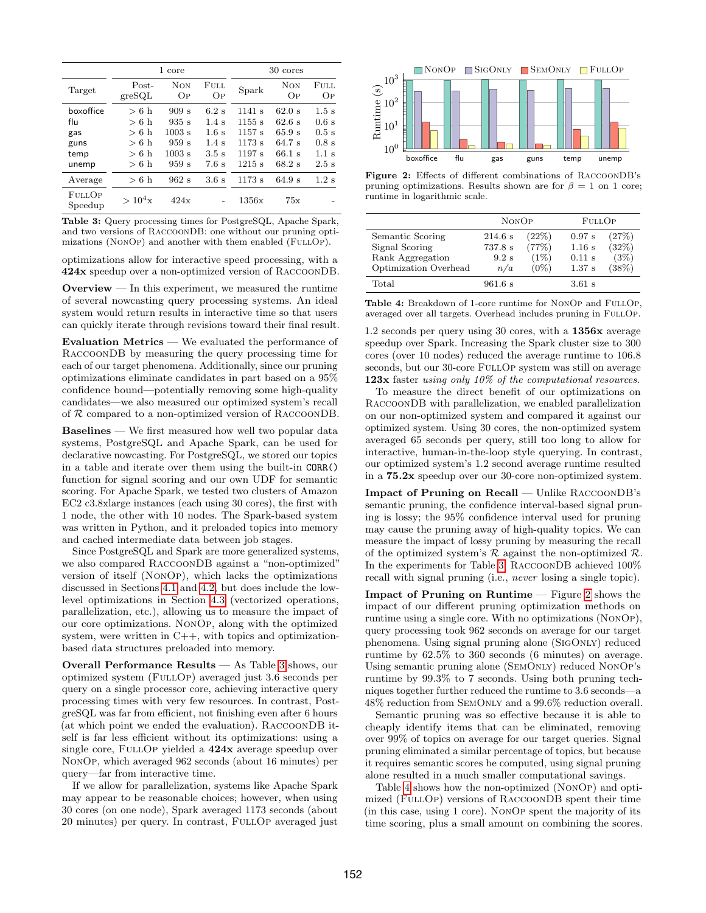<span id="page-7-0"></span>

|                          | 1 core          |                  |                  | 30 cores |                  |                   |
|--------------------------|-----------------|------------------|------------------|----------|------------------|-------------------|
| Target                   | Post-<br>greSQL | <b>NON</b><br>OР | FULL.<br>OР      | Spark    | <b>NON</b><br>OР | <b>FULL</b><br>OР |
| boxoffice                | > 6 h           | 909 s            | $6.2~{\rm s}$    | 1141 s   | 62.0 s           | 1.5 s             |
| flu                      | $> 6 \;{\rm h}$ | 935 s            | $1.4 \text{ s}$  | 1155 s   | $62.6$ s         | 0.6s              |
| gas                      | $> 6 \;{\rm h}$ | $1003$ s         | 1.6 <sub>s</sub> | 1157 s   | 65.9 s           | $0.5$ s           |
| guns                     | $> 6 \;{\rm h}$ | 959 s            | $1.4 \text{ s}$  | 1173 s   | $64.7$ s         | 0.8 s             |
| temp                     | > 6 h           | $1003$ s         | 3.5s             | 1197 s   | $66.1$ s         | $1.1$ s           |
| unemp                    | > 6 h           | 959 s            | 7.6s             | 1215 s   | $68.2$ s         | $2.5$ s           |
| Average                  | > 6 h           | 962 s            | 3.6s             | 1173 s   | 64.9s            | 1.2 s             |
| <b>FULLOP</b><br>Speedup | $> 10^4$ x      | 424x             |                  | 1356x    | 75x              |                   |

Table 3: Query processing times for PostgreSQL, Apache Spark, and two versions of RaccoonDB: one without our pruning optimizations (NONOP) and another with them enabled (FULLOP).

optimizations allow for interactive speed processing, with a 424x speedup over a non-optimized version of RaccoonDB.

 $\bf{O}$  verview  $\bf{I}$  = In this experiment, we measured the runtime of several nowcasting query processing systems. An ideal system would return results in interactive time so that users can quickly iterate through revisions toward their final result.

Evaluation Metrics — We evaluated the performance of RaccoonDB by measuring the query processing time for each of our target phenomena. Additionally, since our pruning optimizations eliminate candidates in part based on a 95% confidence bound—potentially removing some high-quality candidates—we also measured our optimized system's recall of  $R$  compared to a non-optimized version of RACCOONDB.

Baselines — We first measured how well two popular data systems, PostgreSQL and Apache Spark, can be used for declarative nowcasting. For PostgreSQL, we stored our topics in a table and iterate over them using the built-in CORR() function for signal scoring and our own UDF for semantic scoring. For Apache Spark, we tested two clusters of Amazon EC2 c3.8xlarge instances (each using 30 cores), the first with 1 node, the other with 10 nodes. The Spark-based system was written in Python, and it preloaded topics into memory and cached intermediate data between job stages.

Since PostgreSQL and Spark are more generalized systems, we also compared RaccoonDB against a "non-optimized" version of itself (NonOp), which lacks the optimizations discussed in Sections [4.1](#page-4-4) and [4.2,](#page-5-2) but does include the lowlevel optimizations in Section [4.3](#page-5-5) (vectorized operations, parallelization, etc.), allowing us to measure the impact of our core optimizations. NonOp, along with the optimized system, were written in  $C++$ , with topics and optimizationbased data structures preloaded into memory.

Overall Performance Results — As Table [3](#page-7-0) shows, our optimized system (FullOp) averaged just 3.6 seconds per query on a single processor core, achieving interactive query processing times with very few resources. In contrast, PostgreSQL was far from efficient, not finishing even after 6 hours (at which point we ended the evaluation). RaccoonDB itself is far less efficient without its optimizations: using a single core, FULLOP yielded a 424x average speedup over NonOp, which averaged 962 seconds (about 16 minutes) per query—far from interactive time.

If we allow for parallelization, systems like Apache Spark may appear to be reasonable choices; however, when using 30 cores (on one node), Spark averaged 1173 seconds (about 20 minutes) per query. In contrast, FULLOP averaged just

<span id="page-7-1"></span>

Figure 2: Effects of different combinations of RaccoonDB's pruning optimizations. Results shown are for  $\beta = 1$  on 1 core; runtime in logarithmic scale.

<span id="page-7-2"></span>

|                       | <b>NONOP</b> |         | <b>FULLOP</b> |       |
|-----------------------|--------------|---------|---------------|-------|
| Semantic Scoring      | $214.6$ s    | (22%)   | $0.97$ s      | (27%) |
| Signal Scoring        | 737.8 s      | (77%)   | 1.16 s        | (32%) |
| Rank Aggregation      | $9.2$ s      | (1%)    | $0.11$ s      | (3%)  |
| Optimization Overhead | n/a          | $(0\%)$ | $1.37$ s      | (38%) |
| Total                 | 961.6 s      |         | $3.61$ s      |       |

Table 4: Breakdown of 1-core runtime for NONOP and FULLOP, averaged over all targets. Overhead includes pruning in FULLOP.

1.2 seconds per query using 30 cores, with a 1356x average speedup over Spark. Increasing the Spark cluster size to 300 cores (over 10 nodes) reduced the average runtime to 106.8 seconds, but our 30-core FULLOP system was still on average 123x faster using only 10% of the computational resources.

To measure the direct benefit of our optimizations on RaccoonDB with parallelization, we enabled parallelization on our non-optimized system and compared it against our optimized system. Using 30 cores, the non-optimized system averaged 65 seconds per query, still too long to allow for interactive, human-in-the-loop style querying. In contrast, our optimized system's 1.2 second average runtime resulted in a 75.2x speedup over our 30-core non-optimized system.

Impact of Pruning on Recall — Unlike RaccoonDB's semantic pruning, the confidence interval-based signal pruning is lossy; the 95% confidence interval used for pruning may cause the pruning away of high-quality topics. We can measure the impact of lossy pruning by measuring the recall of the optimized system's  $R$  against the non-optimized  $R$ . In the experiments for Table [3,](#page-7-0) RaccoonDB achieved 100% recall with signal pruning (i.e., never losing a single topic).

Impact of Pruning on Runtime — Figure [2](#page-7-1) shows the impact of our different pruning optimization methods on runtime using a single core. With no optimizations (NonOp), query processing took 962 seconds on average for our target phenomena. Using signal pruning alone (SIGONLY) reduced runtime by 62.5% to 360 seconds (6 minutes) on average. Using semantic pruning alone (SEMONLY) reduced NONOP's runtime by 99.3% to 7 seconds. Using both pruning techniques together further reduced the runtime to 3.6 seconds—a 48% reduction from SemOnly and a 99.6% reduction overall.

Semantic pruning was so effective because it is able to cheaply identify items that can be eliminated, removing over 99% of topics on average for our target queries. Signal pruning eliminated a similar percentage of topics, but because it requires semantic scores be computed, using signal pruning alone resulted in a much smaller computational savings.

Table [4](#page-7-2) shows how the non-optimized (NonOp) and optimized (FullOp) versions of RaccoonDB spent their time (in this case, using 1 core). NonOp spent the majority of its time scoring, plus a small amount on combining the scores.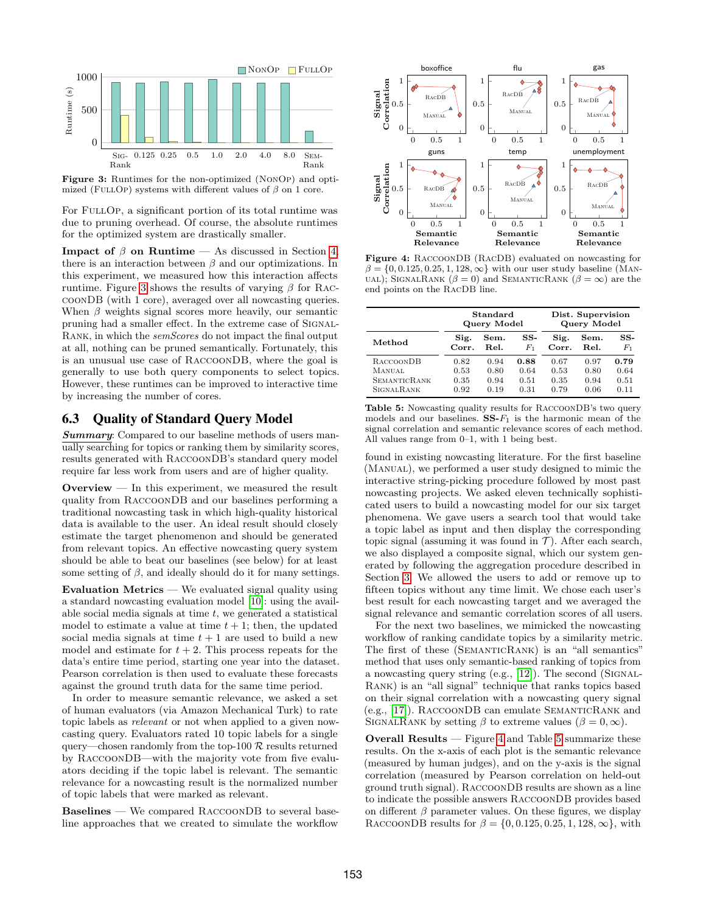<span id="page-8-1"></span>

Figure 3: Runtimes for the non-optimized (NonOp) and optimized (FULLOP) systems with different values of  $\beta$  on 1 core.

For FULLOP, a significant portion of its total runtime was due to pruning overhead. Of course, the absolute runtimes for the optimized system are drastically smaller.

**Impact of**  $\beta$  **on Runtime** — As discussed in Section [4,](#page-4-0) there is an interaction between  $\beta$  and our optimizations. In this experiment, we measured how this interaction affects runtime. Figure [3](#page-8-1) shows the results of varying  $\beta$  for RACcoonDB (with 1 core), averaged over all nowcasting queries. When  $\beta$  weights signal scores more heavily, our semantic pruning had a smaller effect. In the extreme case of Signal-Rank, in which the semScores do not impact the final output at all, nothing can be pruned semantically. Fortunately, this is an unusual use case of RaccoonDB, where the goal is generally to use both query components to select topics. However, these runtimes can be improved to interactive time by increasing the number of cores.

# <span id="page-8-0"></span>6.3 Quality of Standard Query Model

**Summary:** Compared to our baseline methods of users manually searching for topics or ranking them by similarity scores, results generated with RaccoonDB's standard query model require far less work from users and are of higher quality.

Overview — In this experiment, we measured the result quality from RaccoonDB and our baselines performing a traditional nowcasting task in which high-quality historical data is available to the user. An ideal result should closely estimate the target phenomenon and should be generated from relevant topics. An effective nowcasting query system should be able to beat our baselines (see below) for at least some setting of  $\beta$ , and ideally should do it for many settings.

Evaluation Metrics — We evaluated signal quality using a standard nowcasting evaluation model [\[10\]](#page-11-0): using the available social media signals at time  $t$ , we generated a statistical model to estimate a value at time  $t + 1$ ; then, the updated social media signals at time  $t + 1$  are used to build a new model and estimate for  $t + 2$ . This process repeats for the data's entire time period, starting one year into the dataset. Pearson correlation is then used to evaluate these forecasts against the ground truth data for the same time period.

In order to measure semantic relevance, we asked a set of human evaluators (via Amazon Mechanical Turk) to rate topic labels as relevant or not when applied to a given nowcasting query. Evaluators rated 10 topic labels for a single query—chosen randomly from the top-100  $\mathcal R$  results returned by RaccoonDB—with the majority vote from five evaluators deciding if the topic label is relevant. The semantic relevance for a nowcasting result is the normalized number of topic labels that were marked as relevant.

Baselines — We compared RaccoonDB to several baseline approaches that we created to simulate the workflow

<span id="page-8-2"></span>

Figure 4: RaccoonDB (RacDB) evaluated on nowcasting for  $\beta = \{0, 0.125, 0.25, 1, 128, \infty\}$  with our user study baseline (MAN-UAL); SIGNALRANK ( $\beta = 0$ ) and SEMANTICRANK ( $\beta = \infty$ ) are the end points on the RacDB line.

<span id="page-8-3"></span>

|                                                                        | Standard<br>Query Model                           |                              |                              | Dist. Supervision<br>Query Model |                              |                              |
|------------------------------------------------------------------------|---------------------------------------------------|------------------------------|------------------------------|----------------------------------|------------------------------|------------------------------|
| Method                                                                 | $SS-$<br>Sig.<br>Sem.<br>Corr.<br>Rel.<br>$F_{1}$ |                              | Sig.<br>Corr.                | Sem.<br>Rel.                     | $SS-$<br>$F_1$               |                              |
| RACCOONDB<br><b>MANUAL</b><br><b>SEMANTICRANK</b><br><b>SIGNALRANK</b> | 0.82<br>0.53<br>0.35<br>0.92                      | 0.94<br>0.80<br>0.94<br>0.19 | 0.88<br>0.64<br>0.51<br>0.31 | 0.67<br>0.53<br>0.35<br>0.79     | 0.97<br>0.80<br>0.94<br>0.06 | 0.79<br>0.64<br>0.51<br>0.11 |

Table 5: Nowcasting quality results for RaccoonDB's two query models and our baselines.  $SS - F_1$  is the harmonic mean of the signal correlation and semantic relevance scores of each method. All values range from 0–1, with 1 being best.

found in existing nowcasting literature. For the first baseline (Manual), we performed a user study designed to mimic the interactive string-picking procedure followed by most past nowcasting projects. We asked eleven technically sophisticated users to build a nowcasting model for our six target phenomena. We gave users a search tool that would take a topic label as input and then display the corresponding topic signal (assuming it was found in  $\mathcal{T}$ ). After each search, we also displayed a composite signal, which our system generated by following the aggregation procedure described in Section [3.](#page-3-0) We allowed the users to add or remove up to fifteen topics without any time limit. We chose each user's best result for each nowcasting target and we averaged the signal relevance and semantic correlation scores of all users.

For the next two baselines, we mimicked the nowcasting workflow of ranking candidate topics by a similarity metric. The first of these (SEMANTICRANK) is an "all semantics" method that uses only semantic-based ranking of topics from a nowcasting query string (e.g., [\[12\]](#page-11-2)). The second (Signal-Rank) is an "all signal" technique that ranks topics based on their signal correlation with a nowcasting query signal (e.g., [\[17\]](#page-11-1)). RaccoonDB can emulate SemanticRank and SIGNALRANK by setting  $\beta$  to extreme values  $(\beta = 0, \infty)$ .

Overall Results — Figure [4](#page-8-2) and Table [5](#page-8-3) summarize these results. On the x-axis of each plot is the semantic relevance (measured by human judges), and on the y-axis is the signal correlation (measured by Pearson correlation on held-out ground truth signal). RaccoonDB results are shown as a line to indicate the possible answers RaccoonDB provides based on different  $\beta$  parameter values. On these figures, we display RACCOONDB results for  $\beta = \{0, 0.125, 0.25, 1, 128, \infty\}$ , with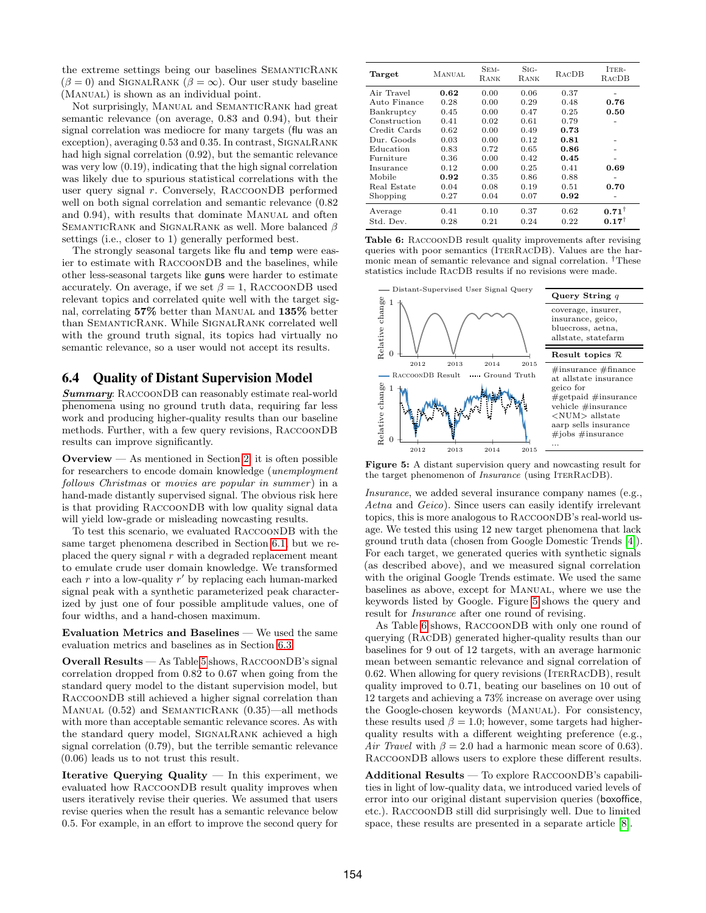the extreme settings being our baselines SemanticRank  $(\beta = 0)$  and SIGNALRANK  $(\beta = \infty)$ . Our user study baseline (Manual) is shown as an individual point.

Not surprisingly, Manual and SemanticRank had great semantic relevance (on average, 0.83 and 0.94), but their signal correlation was mediocre for many targets (flu was an exception), averaging 0.53 and 0.35. In contrast, SIGNALRANK had high signal correlation (0.92), but the semantic relevance was very low  $(0.19)$ , indicating that the high signal correlation was likely due to spurious statistical correlations with the user query signal r. Conversely, RaccoonDB performed well on both signal correlation and semantic relevance (0.82 and 0.94), with results that dominate MANUAL and often SEMANTICRANK and SIGNALRANK as well. More balanced  $\beta$ settings (i.e., closer to 1) generally performed best.

The strongly seasonal targets like flu and temp were easier to estimate with RaccoonDB and the baselines, while other less-seasonal targets like guns were harder to estimate accurately. On average, if we set  $\beta = 1$ , RACCOONDB used relevant topics and correlated quite well with the target signal, correlating 57% better than Manual and 135% better than SemanticRank. While SignalRank correlated well with the ground truth signal, its topics had virtually no semantic relevance, so a user would not accept its results.

# <span id="page-9-0"></span>6.4 Quality of Distant Supervision Model

Summary: RaccoonDB can reasonably estimate real-world phenomena using no ground truth data, requiring far less work and producing higher-quality results than our baseline methods. Further, with a few query revisions, RaccoonDB results can improve significantly.

**Overview**  $\mathcal{A}$  As mentioned in Section [2,](#page-2-0) it is often possible for researchers to encode domain knowledge (unemployment follows Christmas or movies are popular in summer) in a hand-made distantly supervised signal. The obvious risk here is that providing RaccoonDB with low quality signal data will yield low-grade or misleading nowcasting results.

To test this scenario, we evaluated RaccoonDB with the same target phenomena described in Section [6.1,](#page-6-4) but we replaced the query signal  $r$  with a degraded replacement meant to emulate crude user domain knowledge. We transformed each  $r$  into a low-quality  $r'$  by replacing each human-marked signal peak with a synthetic parameterized peak characterized by just one of four possible amplitude values, one of four widths, and a hand-chosen maximum.

Evaluation Metrics and Baselines — We used the same evaluation metrics and baselines as in Section [6.3.](#page-8-0)

Overall Results — As Table [5](#page-8-3) shows, RaccoonDB's signal correlation dropped from 0.82 to 0.67 when going from the standard query model to the distant supervision model, but RaccoonDB still achieved a higher signal correlation than MANUAL (0.52) and SEMANTICRANK (0.35)—all methods with more than acceptable semantic relevance scores. As with the standard query model, SignalRank achieved a high signal correlation (0.79), but the terrible semantic relevance (0.06) leads us to not trust this result.

**Iterative Querying Quality**  $\qquad$  In this experiment, we evaluated how RaccoonDB result quality improves when users iteratively revise their queries. We assumed that users revise queries when the result has a semantic relevance below 0.5. For example, in an effort to improve the second query for

<span id="page-9-2"></span>

| Target       | <b>MANUAL</b> | SEM-<br>RANK | $SIG-$<br>RANK | <b>RACDB</b> | ITER-<br>RACDB   |
|--------------|---------------|--------------|----------------|--------------|------------------|
| Air Travel   | 0.62          | 0.00         | 0.06           | 0.37         |                  |
| Auto Finance | 0.28          | 0.00         | 0.29           | 0.48         | 0.76             |
| Bankruptcy   | 0.45          | 0.00         | 0.47           | 0.25         | 0.50             |
| Construction | 0.41          | 0.02         | 0.61           | 0.79         |                  |
| Credit Cards | 0.62          | 0.00         | 0.49           | 0.73         |                  |
| Dur. Goods   | 0.03          | 0.00         | 0.12           | 0.81         |                  |
| Education    | 0.83          | 0.72         | 0.65           | 0.86         |                  |
| Furniture    | 0.36          | 0.00         | 0.42           | 0.45         |                  |
| Insurance    | 0.12          | 0.00         | 0.25           | 0.41         | 0.69             |
| Mobile       | 0.92          | 0.35         | 0.86           | 0.88         |                  |
| Real Estate  | 0.04          | 0.08         | 0.19           | 0.51         | 0.70             |
| Shopping     | 0.27          | 0.04         | 0.07           | 0.92         |                  |
| Average      | 0.41          | 0.10         | 0.37           | 0.62         | $0.71^{\dagger}$ |
| Std. Dev.    | 0.28          | 0.21         | 0.24           | 0.22         | $0.17^{\dagger}$ |

Table 6: RACCOONDB result quality improvements after revising queries with poor semantics (ITERRACDB). Values are the harmonic mean of semantic relevance and signal correlation. †These statistics include RacDB results if no revisions were made.

<span id="page-9-1"></span>

Figure 5: A distant supervision query and nowcasting result for the target phenomenon of *Insurance* (using ITERRACDB).

Insurance, we added several insurance company names (e.g., Aetna and Geico). Since users can easily identify irrelevant topics, this is more analogous to RaccoonDB's real-world usage. We tested this using 12 new target phenomena that lack ground truth data (chosen from Google Domestic Trends [\[4\]](#page-11-27)). For each target, we generated queries with synthetic signals (as described above), and we measured signal correlation with the original Google Trends estimate. We used the same baselines as above, except for Manual, where we use the keywords listed by Google. Figure [5](#page-9-1) shows the query and result for *Insurance* after one round of revising.

As Table [6](#page-9-2) shows, RaccoonDB with only one round of querying (RacDB) generated higher-quality results than our baselines for 9 out of 12 targets, with an average harmonic mean between semantic relevance and signal correlation of 0.62. When allowing for query revisions (ITERRACDB), result quality improved to 0.71, beating our baselines on 10 out of 12 targets and achieving a 73% increase on average over using the Google-chosen keywords (Manual). For consistency, these results used  $\beta = 1.0$ ; however, some targets had higherquality results with a different weighting preference (e.g., Air Travel with  $\beta = 2.0$  had a harmonic mean score of 0.63). RaccoonDB allows users to explore these different results.

Additional Results — To explore RaccoonDB's capabilities in light of low-quality data, we introduced varied levels of error into our original distant supervision queries (boxoffice, etc.). RaccoonDB still did surprisingly well. Due to limited space, these results are presented in a separate article [\[8\]](#page-11-28).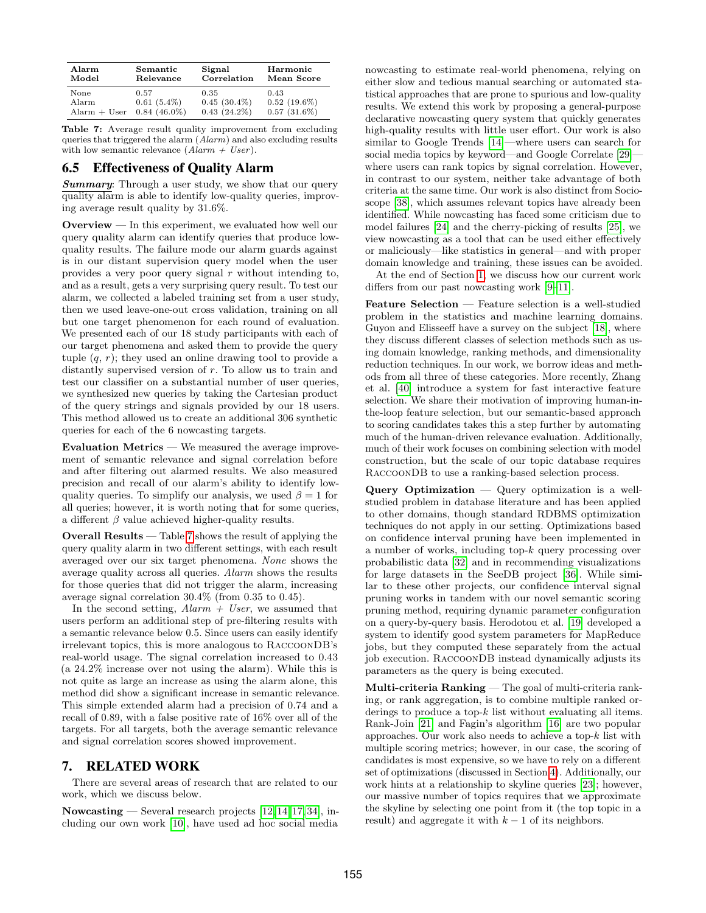<span id="page-10-1"></span>

| Alarm                        | Semantic       | Signal         | <b>Harmonic</b> |
|------------------------------|----------------|----------------|-----------------|
| Model                        | Relevance      | Correlation    | Mean Score      |
| None                         | 0.57           | 0.35           | 0.43            |
| Alarm                        | $0.61(5.4\%)$  | $0.45(30.4\%)$ | $0.52(19.6\%)$  |
| $\text{Alarm} + \text{User}$ | $0.84(46.0\%)$ | $0.43(24.2\%)$ | $0.57(31.6\%)$  |

Table 7: Average result quality improvement from excluding queries that triggered the alarm (Alarm) and also excluding results with low semantic relevance  $(Alarm + User)$ .

### <span id="page-10-0"></span>6.5 Effectiveness of Quality Alarm

Summary: Through a user study, we show that our query quality alarm is able to identify low-quality queries, improving average result quality by 31.6%.

Overview — In this experiment, we evaluated how well our query quality alarm can identify queries that produce lowquality results. The failure mode our alarm guards against is in our distant supervision query model when the user provides a very poor query signal  $r$  without intending to, and as a result, gets a very surprising query result. To test our alarm, we collected a labeled training set from a user study, then we used leave-one-out cross validation, training on all but one target phenomenon for each round of evaluation. We presented each of our 18 study participants with each of our target phenomena and asked them to provide the query tuple  $(q, r)$ ; they used an online drawing tool to provide a distantly supervised version of r. To allow us to train and test our classifier on a substantial number of user queries, we synthesized new queries by taking the Cartesian product of the query strings and signals provided by our 18 users. This method allowed us to create an additional 306 synthetic queries for each of the 6 nowcasting targets.

Evaluation Metrics — We measured the average improvement of semantic relevance and signal correlation before and after filtering out alarmed results. We also measured precision and recall of our alarm's ability to identify lowquality queries. To simplify our analysis, we used  $\beta = 1$  for all queries; however, it is worth noting that for some queries, a different  $\beta$  value achieved higher-quality results.

Overall Results — Table [7](#page-10-1) shows the result of applying the query quality alarm in two different settings, with each result averaged over our six target phenomena. None shows the average quality across all queries. Alarm shows the results for those queries that did not trigger the alarm, increasing average signal correlation 30.4% (from 0.35 to 0.45).

In the second setting,  $Alarm + User$ , we assumed that users perform an additional step of pre-filtering results with a semantic relevance below 0.5. Since users can easily identify irrelevant topics, this is more analogous to RaccoonDB's real-world usage. The signal correlation increased to 0.43 (a 24.2% increase over not using the alarm). While this is not quite as large an increase as using the alarm alone, this method did show a significant increase in semantic relevance. This simple extended alarm had a precision of 0.74 and a recall of 0.89, with a false positive rate of 16% over all of the targets. For all targets, both the average semantic relevance and signal correlation scores showed improvement.

## 7. RELATED WORK

There are several areas of research that are related to our work, which we discuss below.

Nowcasting — Several research projects [\[12,](#page-11-2) [14,](#page-11-4) [17,](#page-11-1) [34\]](#page-11-5), including our own work [\[10\]](#page-11-0), have used ad hoc social media

nowcasting to estimate real-world phenomena, relying on either slow and tedious manual searching or automated statistical approaches that are prone to spurious and low-quality results. We extend this work by proposing a general-purpose declarative nowcasting query system that quickly generates high-quality results with little user effort. Our work is also similar to Google Trends [\[14\]](#page-11-4)—where users can search for social media topics by keyword—and Google Correlate [\[29\]](#page-11-29) where users can rank topics by signal correlation. However, in contrast to our system, neither take advantage of both criteria at the same time. Our work is also distinct from Socioscope [\[38\]](#page-11-30), which assumes relevant topics have already been identified. While nowcasting has faced some criticism due to model failures [\[24\]](#page-11-31) and the cherry-picking of results [\[25\]](#page-11-32), we view nowcasting as a tool that can be used either effectively or maliciously—like statistics in general—and with proper domain knowledge and training, these issues can be avoided.

At the end of Section [1,](#page-0-0) we discuss how our current work differs from our past nowcasting work [\[9](#page-11-11)[–11\]](#page-11-7).

Feature Selection — Feature selection is a well-studied problem in the statistics and machine learning domains. Guyon and Elisseeff have a survey on the subject [\[18\]](#page-11-33), where they discuss different classes of selection methods such as using domain knowledge, ranking methods, and dimensionality reduction techniques. In our work, we borrow ideas and methods from all three of these categories. More recently, Zhang et al. [\[40\]](#page-11-8) introduce a system for fast interactive feature selection. We share their motivation of improving human-inthe-loop feature selection, but our semantic-based approach to scoring candidates takes this a step further by automating much of the human-driven relevance evaluation. Additionally, much of their work focuses on combining selection with model construction, but the scale of our topic database requires RaccoonDB to use a ranking-based selection process.

Query Optimization  $-$  Query optimization is a wellstudied problem in database literature and has been applied to other domains, though standard RDBMS optimization techniques do not apply in our setting. Optimizations based on confidence interval pruning have been implemented in a number of works, including top- $k$  query processing over probabilistic data [\[32\]](#page-11-18) and in recommending visualizations for large datasets in the SeeDB project [\[36\]](#page-11-19). While similar to these other projects, our confidence interval signal pruning works in tandem with our novel semantic scoring pruning method, requiring dynamic parameter configuration on a query-by-query basis. Herodotou et al. [\[19\]](#page-11-34) developed a system to identify good system parameters for MapReduce jobs, but they computed these separately from the actual job execution. RaccoonDB instead dynamically adjusts its parameters as the query is being executed.

Multi-criteria Ranking — The goal of multi-criteria ranking, or rank aggregation, is to combine multiple ranked orderings to produce a top- $k$  list without evaluating all items. Rank-Join [\[21\]](#page-11-10) and Fagin's algorithm [\[16\]](#page-11-9) are two popular approaches. Our work also needs to achieve a top- $k$  list with multiple scoring metrics; however, in our case, the scoring of candidates is most expensive, so we have to rely on a different set of optimizations (discussed in Section [4\)](#page-4-0). Additionally, our work hints at a relationship to skyline queries [\[23\]](#page-11-35); however, our massive number of topics requires that we approximate the skyline by selecting one point from it (the top topic in a result) and aggregate it with  $k - 1$  of its neighbors.